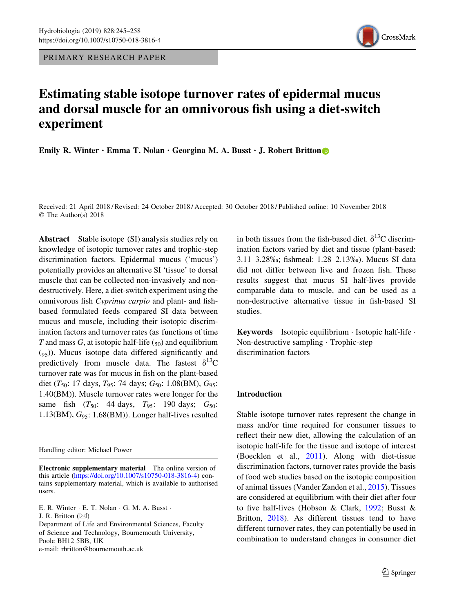PRIMARY RESEARCH PAPER



# Estimating stable isotope turnover rates of epidermal mucus and dorsal muscle for an omnivorous fish using a diet-switch experiment

Emily R. Winter  $\cdot$  Emma T. Nolan  $\cdot$  Georgina M. A. Busst  $\cdot$  J. Robert Britton

Received: 21 April 2018 / Revised: 24 October 2018 / Accepted: 30 October 2018 / Published online: 10 November 2018 © The Author(s) 2018

Abstract Stable isotope (SI) analysis studies rely on knowledge of isotopic turnover rates and trophic-step discrimination factors. Epidermal mucus ('mucus') potentially provides an alternative SI 'tissue' to dorsal muscle that can be collected non-invasively and nondestructively. Here, a diet-switch experiment using the omnivorous fish Cyprinus carpio and plant- and fishbased formulated feeds compared SI data between mucus and muscle, including their isotopic discrimination factors and turnover rates (as functions of time T and mass G, at isotopic half-life  $(50)$  and equilibrium  $(q<sub>5</sub>)$ ). Mucus isotope data differed significantly and predictively from muscle data. The fastest  $\delta^{13}C$ turnover rate was for mucus in fish on the plant-based diet (T<sub>50</sub>: 17 days, T<sub>95</sub>: 74 days; G<sub>50</sub>: 1.08(BM), G<sub>95</sub>: 1.40(BM)). Muscle turnover rates were longer for the same fish  $(T_{50}: 44 \text{ days}, T_{95}: 190 \text{ days}; G_{50}:$  $1.13(BM)$ ,  $G_{95}$ :  $1.68(BM)$ ). Longer half-lives resulted

Handling editor: Michael Power

in both tissues from the fish-based diet.  $\delta^{13}$ C discrimination factors varied by diet and tissue (plant-based: 3.11–3.28%; fishmeal: 1.28–2.13%). Mucus SI data did not differ between live and frozen fish. These results suggest that mucus SI half-lives provide comparable data to muscle, and can be used as a non-destructive alternative tissue in fish-based SI studies.

Keywords Isotopic equilibrium · Isotopic half-life · Non-destructive sampling · Trophic-step discrimination factors

## Introduction

Stable isotope turnover rates represent the change in mass and/or time required for consumer tissues to reflect their new diet, allowing the calculation of an isotopic half-life for the tissue and isotope of interest (Boecklen et al., [2011](#page-12-0)). Along with diet-tissue discrimination factors, turnover rates provide the basis of food web studies based on the isotopic composition of animal tissues (Vander Zanden et al., [2015\)](#page-13-0). Tissues are considered at equilibrium with their diet after four to five half-lives (Hobson & Clark, [1992;](#page-13-0) Busst & Britton, [2018\)](#page-12-0). As different tissues tend to have different turnover rates, they can potentially be used in combination to understand changes in consumer diet

Electronic supplementary material The online version of this article [\(https://doi.org/10.1007/s10750-018-3816-4](https://doi.org/10.1007/s10750-018-3816-4)) contains supplementary material, which is available to authorised users.

E. R. Winter · E. T. Nolan · G. M. A. Busst ·

J. R. Britton  $(\boxtimes)$ 

Department of Life and Environmental Sciences, Faculty of Science and Technology, Bournemouth University, Poole BH12 5BB, UK e-mail: rbritton@bournemouth.ac.uk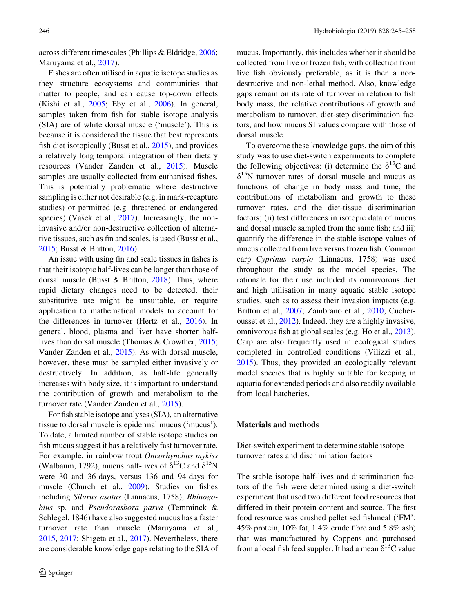across different timescales (Phillips & Eldridge, [2006](#page-13-0); Maruyama et al., [2017\)](#page-13-0).

Fishes are often utilised in aquatic isotope studies as they structure ecosystems and communities that matter to people, and can cause top-down effects (Kishi et al., [2005;](#page-13-0) Eby et al., [2006\)](#page-12-0). In general, samples taken from fish for stable isotope analysis (SIA) are of white dorsal muscle ('muscle'). This is because it is considered the tissue that best represents fish diet isotopically (Busst et al., [2015\)](#page-12-0), and provides a relatively long temporal integration of their dietary resources (Vander Zanden et al., [2015](#page-13-0)). Muscle samples are usually collected from euthanised fishes. This is potentially problematic where destructive sampling is either not desirable (e.g. in mark-recapture studies) or permitted (e.g. threatened or endangered species) (Vašek et al., [2017](#page-13-0)). Increasingly, the noninvasive and/or non-destructive collection of alternative tissues, such as fin and scales, is used (Busst et al., [2015;](#page-12-0) Busst & Britton, [2016\)](#page-12-0).

An issue with using fin and scale tissues in fishes is that their isotopic half-lives can be longer than those of dorsal muscle (Busst & Britton, [2018](#page-12-0)). Thus, where rapid dietary changes need to be detected, their substitutive use might be unsuitable, or require application to mathematical models to account for the differences in turnover (Hertz et al., [2016](#page-12-0)). In general, blood, plasma and liver have shorter halflives than dorsal muscle (Thomas & Crowther, [2015](#page-13-0); Vander Zanden et al., [2015](#page-13-0)). As with dorsal muscle, however, these must be sampled either invasively or destructively. In addition, as half-life generally increases with body size, it is important to understand the contribution of growth and metabolism to the turnover rate (Vander Zanden et al., [2015\)](#page-13-0).

For fish stable isotope analyses (SIA), an alternative tissue to dorsal muscle is epidermal mucus ('mucus'). To date, a limited number of stable isotope studies on fish mucus suggest it has a relatively fast turnover rate. For example, in rainbow trout Oncorhynchus mykiss (Walbaum, 1792), mucus half-lives of  $\delta^{13}C$  and  $\delta^{15}N$ were 30 and 36 days, versus 136 and 94 days for muscle (Church et al., [2009](#page-12-0)). Studies on fishes including Silurus asotus (Linnaeus, 1758), Rhinogobius sp. and Pseudorasbora parva (Temminck & Schlegel, 1846) have also suggested mucus has a faster turnover rate than muscle (Maruyama et al., [2015,](#page-13-0) [2017](#page-13-0); Shigeta et al., [2017](#page-13-0)). Nevertheless, there are considerable knowledge gaps relating to the SIA of

246 Hydrobiologia (2019) 828:245–258

mucus. Importantly, this includes whether it should be collected from live or frozen fish, with collection from live fish obviously preferable, as it is then a nondestructive and non-lethal method. Also, knowledge gaps remain on its rate of turnover in relation to fish body mass, the relative contributions of growth and metabolism to turnover, diet-step discrimination factors, and how mucus SI values compare with those of dorsal muscle.

To overcome these knowledge gaps, the aim of this study was to use diet-switch experiments to complete the following objectives: (i) determine the  $\delta^{13}$ C and  $\delta^{15}$ N turnover rates of dorsal muscle and mucus as functions of change in body mass and time, the contributions of metabolism and growth to these turnover rates, and the diet-tissue discrimination factors; (ii) test differences in isotopic data of mucus and dorsal muscle sampled from the same fish; and iii) quantify the difference in the stable isotope values of mucus collected from live versus frozen fish. Common carp Cyprinus carpio (Linnaeus, 1758) was used throughout the study as the model species. The rationale for their use included its omnivorous diet and high utilisation in many aquatic stable isotope studies, such as to assess their invasion impacts (e.g. Britton et al., [2007;](#page-12-0) Zambrano et al., [2010;](#page-13-0) Cucherousset et al., [2012\)](#page-12-0). Indeed, they are a highly invasive, omnivorous fish at global scales (e.g. Ho et al., [2013](#page-13-0)). Carp are also frequently used in ecological studies completed in controlled conditions (Vilizzi et al., [2015\)](#page-13-0). Thus, they provided an ecologically relevant model species that is highly suitable for keeping in aquaria for extended periods and also readily available from local hatcheries.

## Materials and methods

Diet-switch experiment to determine stable isotope turnover rates and discrimination factors

The stable isotope half-lives and discrimination factors of the fish were determined using a diet-switch experiment that used two different food resources that differed in their protein content and source. The first food resource was crushed pelletised fishmeal ('FM'; 45% protein, 10% fat, 1.4% crude fibre and 5.8% ash) that was manufactured by Coppens and purchased from a local fish feed suppler. It had a mean  $\delta^{13}$ C value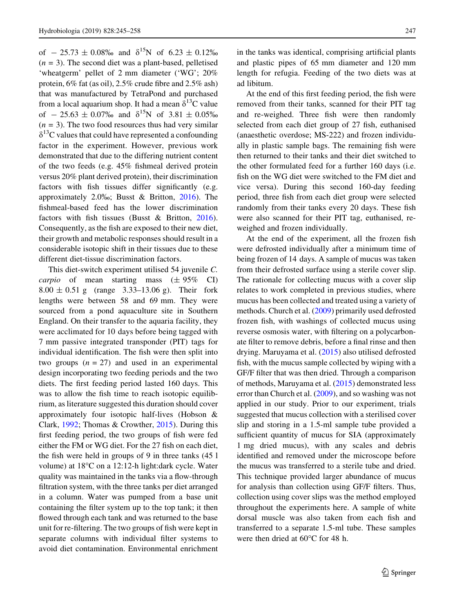of  $-25.73 \pm 0.08\%$  and  $\delta^{15}N$  of  $6.23 \pm 0.12\%$  $(n = 3)$ . The second diet was a plant-based, pelletised 'wheatgerm' pellet of 2 mm diameter ('WG'; 20% protein, 6% fat (as oil), 2.5% crude fibre and 2.5% ash) that was manufactured by TetraPond and purchased from a local aquarium shop. It had a mean  $\delta^{13}C$  value of  $-25.63 \pm 0.07\%$  and  $\delta^{15}N$  of  $3.81 \pm 0.05\%$  $(n = 3)$ . The two food resources thus had very similar  $\delta^{13}$ C values that could have represented a confounding factor in the experiment. However, previous work demonstrated that due to the differing nutrient content of the two feeds (e.g. 45% fishmeal derived protein versus 20% plant derived protein), their discrimination factors with fish tissues differ significantly (e.g. approximately 2.0%; Busst & Britton, [2016\)](#page-12-0). The fishmeal-based feed has the lower discrimination factors with fish tissues (Busst & Britton, [2016](#page-12-0)). Consequently, as the fish are exposed to their new diet, their growth and metabolic responses should result in a considerable isotopic shift in their tissues due to these different diet-tissue discrimination factors.

This diet-switch experiment utilised 54 juvenile C. *carpio* of mean starting mass  $(\pm 95\%$  CI)  $8.00 \pm 0.51$  g (range 3.33–13.06 g). Their fork lengths were between 58 and 69 mm. They were sourced from a pond aquaculture site in Southern England. On their transfer to the aquaria facility, they were acclimated for 10 days before being tagged with 7 mm passive integrated transponder (PIT) tags for individual identification. The fish were then split into two groups  $(n = 27)$  and used in an experimental design incorporating two feeding periods and the two diets. The first feeding period lasted 160 days. This was to allow the fish time to reach isotopic equilibrium, as literature suggested this duration should cover approximately four isotopic half-lives (Hobson & Clark, [1992](#page-13-0); Thomas & Crowther, [2015](#page-13-0)). During this first feeding period, the two groups of fish were fed either the FM or WG diet. For the 27 fish on each diet, the fish were held in groups of 9 in three tanks (45 l volume) at 18°C on a 12:12-h light:dark cycle. Water quality was maintained in the tanks via a flow-through filtration system, with the three tanks per diet arranged in a column. Water was pumped from a base unit containing the filter system up to the top tank; it then flowed through each tank and was returned to the base unit for re-filtering. The two groups of fish were kept in separate columns with individual filter systems to avoid diet contamination. Environmental enrichment

 $\textcircled{2}$  Springer

in the tanks was identical, comprising artificial plants and plastic pipes of 65 mm diameter and 120 mm length for refugia. Feeding of the two diets was at ad libitum.

At the end of this first feeding period, the fish were removed from their tanks, scanned for their PIT tag and re-weighed. Three fish were then randomly selected from each diet group of 27 fish, euthanised (anaesthetic overdose; MS-222) and frozen individually in plastic sample bags. The remaining fish were then returned to their tanks and their diet switched to the other formulated feed for a further 160 days (i.e. fish on the WG diet were switched to the FM diet and vice versa). During this second 160-day feeding period, three fish from each diet group were selected randomly from their tanks every 20 days. These fish were also scanned for their PIT tag, euthanised, reweighed and frozen individually.

At the end of the experiment, all the frozen fish were defrosted individually after a minimum time of being frozen of 14 days. A sample of mucus was taken from their defrosted surface using a sterile cover slip. The rationale for collecting mucus with a cover slip relates to work completed in previous studies, where mucus has been collected and treated using a variety of methods. Church et al. ([2009\)](#page-12-0) primarily used defrosted frozen fish, with washings of collected mucus using reverse osmosis water, with filtering on a polycarbonate filter to remove debris, before a final rinse and then drying. Maruyama et al. ([2015\)](#page-13-0) also utilised defrosted fish, with the mucus sample collected by wiping with a GF/F filter that was then dried. Through a comparison of methods, Maruyama et al. ([2015\)](#page-13-0) demonstrated less error than Church et al. ([2009](#page-12-0)), and so washing was not applied in our study. Prior to our experiment, trials suggested that mucus collection with a sterilised cover slip and storing in a 1.5-ml sample tube provided a sufficient quantity of mucus for SIA (approximately 1 mg dried mucus), with any scales and debris identified and removed under the microscope before the mucus was transferred to a sterile tube and dried. This technique provided larger abundance of mucus for analysis than collection using GF/F filters. Thus, collection using cover slips was the method employed throughout the experiments here. A sample of white dorsal muscle was also taken from each fish and transferred to a separate 1.5-ml tube. These samples were then dried at  $60^{\circ}$ C for 48 h.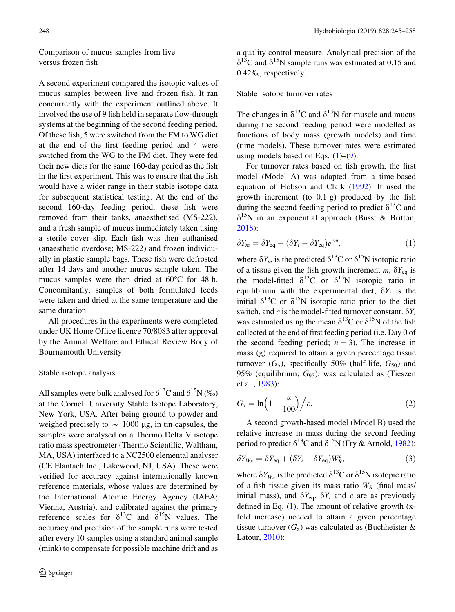<span id="page-3-0"></span>Comparison of mucus samples from live versus frozen fish

A second experiment compared the isotopic values of mucus samples between live and frozen fish. It ran concurrently with the experiment outlined above. It involved the use of 9 fish held in separate flow-through systems at the beginning of the second feeding period. Of these fish, 5 were switched from the FM to WG diet at the end of the first feeding period and 4 were switched from the WG to the FM diet. They were fed their new diets for the same 160-day period as the fish in the first experiment. This was to ensure that the fish would have a wider range in their stable isotope data for subsequent statistical testing. At the end of the second 160-day feeding period, these fish were removed from their tanks, anaesthetised (MS-222), and a fresh sample of mucus immediately taken using a sterile cover slip. Each fish was then euthanised (anaesthetic overdose; MS-222) and frozen individually in plastic sample bags. These fish were defrosted after 14 days and another mucus sample taken. The mucus samples were then dried at  $60^{\circ}$ C for 48 h. Concomitantly, samples of both formulated feeds were taken and dried at the same temperature and the same duration.

All procedures in the experiments were completed under UK Home Office licence 70/8083 after approval by the Animal Welfare and Ethical Review Body of Bournemouth University.

#### Stable isotope analysis

All samples were bulk analysed for  $\delta^{13}C$  and  $\delta^{15}N$  (%) at the Cornell University Stable Isotope Laboratory, New York, USA. After being ground to powder and weighed precisely to  $\sim 1000 \mu$ g, in tin capsules, the samples were analysed on a Thermo Delta V isotope ratio mass spectrometer (Thermo Scientific, Waltham, MA, USA) interfaced to a NC2500 elemental analyser (CE Elantach Inc., Lakewood, NJ, USA). These were verified for accuracy against internationally known reference materials, whose values are determined by the International Atomic Energy Agency (IAEA; Vienna, Austria), and calibrated against the primary reference scales for  $\delta^{13}$ C and  $\delta^{15}$ N values. The accuracy and precision of the sample runs were tested after every 10 samples using a standard animal sample (mink) to compensate for possible machine drift and as a quality control measure. Analytical precision of the  $\delta^{13}$ C and  $\delta^{15}$ N sample runs was estimated at 0.15 and 0.42%, respectively.

## Stable isotope turnover rates

The changes in  $\delta^{13}$ C and  $\delta^{15}$ N for muscle and mucus during the second feeding period were modelled as functions of body mass (growth models) and time (time models). These turnover rates were estimated using models based on Eqs.  $(1)$ – $(9)$  $(9)$ .

For turnover rates based on fish growth, the first model (Model A) was adapted from a time-based equation of Hobson and Clark [\(1992](#page-13-0)). It used the growth increment (to 0.1 g) produced by the fish during the second feeding period to predict  $\delta^{13}$ C and  $\delta^{15}N$  in an exponential approach (Busst & Britton, [2018\)](#page-12-0):

$$
\delta Y_m = \delta Y_{\text{eq}} + (\delta Y_i - \delta Y_{\text{eq}}) e^{cm},\tag{1}
$$

where  $\delta Y_m$  is the predicted  $\delta^{13}$ C or  $\delta^{15}$ N isotopic ratio of a tissue given the fish growth increment m,  $\delta Y_{eq}$  is the model-fitted  $\delta^{13}C$  or  $\delta^{15}N$  isotopic ratio in equilibrium with the experimental diet,  $\delta Y_i$  is the initial  $\delta^{13}$ C or  $\delta^{15}$ N isotopic ratio prior to the diet switch, and c is the model-fitted turnover constant.  $\delta Y_i$ was estimated using the mean  $\delta^{13}$ C or  $\delta^{15}$ N of the fish collected at the end of first feeding period (i.e. Day 0 of the second feeding period;  $n = 3$ ). The increase in mass (g) required to attain a given percentage tissue turnover  $(G_{\alpha})$ , specifically 50% (half-life,  $G_{50}$ ) and 95% (equilibrium;  $G_{95}$ ), was calculated as (Tieszen et al., [1983\)](#page-13-0):

$$
G_{\alpha} = \ln\left(1 - \frac{\alpha}{100}\right) \Big/ c. \tag{2}
$$

A second growth-based model (Model B) used the relative increase in mass during the second feeding period to predict  $\delta^{13}$ C and  $\delta^{15}$ N (Fry & Arnold, [1982](#page-12-0)):

$$
\delta Y_{W_R} = \delta Y_{\text{eq}} + (\delta Y_i - \delta Y_{\text{eq}}) W_R^c, \tag{3}
$$

where  $\delta Y_{W_R}$  is the predicted  $\delta^{13}$ C or  $\delta^{15}$ N isotopic ratio of a fish tissue given its mass ratio  $W_R$  (final mass/ initial mass), and  $\delta Y_{eq}$ ,  $\delta Y_i$  and c are as previously defined in Eq. (1). The amount of relative growth (xfold increase) needed to attain a given percentage tissue turnover  $(G_{\alpha})$  was calculated as (Buchheister & Latour, [2010\)](#page-12-0):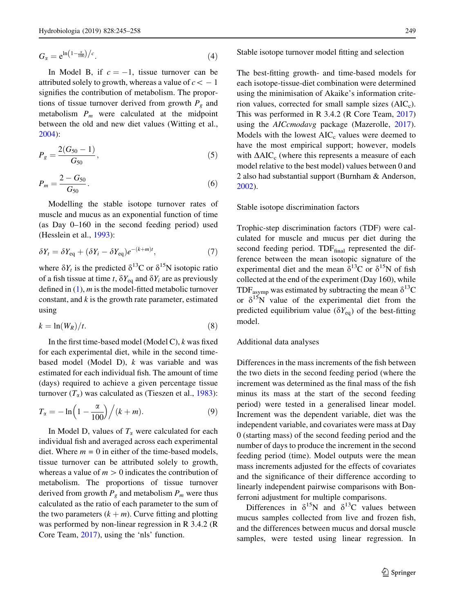<span id="page-4-0"></span>
$$
G_{\alpha} = e^{\ln\left(1 - \frac{\alpha}{100}\right)/c}.\tag{4}
$$

In Model B, if  $c = -1$ , tissue turnover can be attributed solely to growth, whereas a value of  $c\ < -1$ signifies the contribution of metabolism. The proportions of tissue turnover derived from growth  $P_{g}$  and metabolism  $P_m$  were calculated at the midpoint between the old and new diet values (Witting et al., [2004\)](#page-13-0):

$$
P_g = \frac{2(G_{50} - 1)}{G_{50}},\tag{5}
$$

$$
P_m = \frac{2 - G_{50}}{G_{50}}.\t(6)
$$

Modelling the stable isotope turnover rates of muscle and mucus as an exponential function of time (as Day 0–160 in the second feeding period) used (Hesslein et al., [1993](#page-12-0)):

$$
\delta Y_t = \delta Y_{\text{eq}} + (\delta Y_i - \delta Y_{\text{eq}}) e^{-(k+m)t},\tag{7}
$$

where  $\delta Y_t$  is the predicted  $\delta^{13}$ C or  $\delta^{15}$ N isotopic ratio of a fish tissue at time t,  $\delta Y_{eq}$  and  $\delta Y_i$  are as previously defined in  $(1)$  $(1)$ , *m* is the model-fitted metabolic turnover constant, and  $k$  is the growth rate parameter, estimated using

$$
k = \ln(W_R)/t. \tag{8}
$$

In the first time-based model (Model C),  $k$  was fixed for each experimental diet, while in the second timebased model (Model D),  $k$  was variable and was estimated for each individual fish. The amount of time (days) required to achieve a given percentage tissue turnover  $(T_{\alpha})$  was calculated as (Tieszen et al., [1983](#page-13-0)):

$$
T_{\alpha} = -\ln\left(1 - \frac{\alpha}{100}\right) \Big/ (k + m). \tag{9}
$$

In Model D, values of  $T_{\alpha}$  were calculated for each individual fish and averaged across each experimental diet. Where  $m = 0$  in either of the time-based models, tissue turnover can be attributed solely to growth, whereas a value of  $m > 0$  indicates the contribution of metabolism. The proportions of tissue turnover derived from growth  $P_g$  and metabolism  $P_m$  were thus calculated as the ratio of each parameter to the sum of the two parameters  $(k + m)$ . Curve fitting and plotting was performed by non-linear regression in R 3.4.2 (R Core Team, [2017](#page-13-0)), using the 'nls' function.

#### Stable isotope turnover model fitting and selection

The best-fitting growth- and time-based models for each isotope-tissue-diet combination were determined using the minimisation of Akaike's information criterion values, corrected for small sample sizes  $(AIC<sub>c</sub>)$ . This was performed in R 3.4.2 (R Core Team, [2017\)](#page-13-0) using the *AICcmodavg* package (Mazerolle, [2017](#page-13-0)). Models with the lowest  $AIC_c$  values were deemed to have the most empirical support; however, models with  $\Delta AIC_c$  (where this represents a measure of each model relative to the best model) values between 0 and 2 also had substantial support (Burnham & Anderson, [2002\)](#page-12-0).

#### Stable isotope discrimination factors

Trophic-step discrimination factors (TDF) were calculated for muscle and mucus per diet during the second feeding period. TDFfinal represented the difference between the mean isotopic signature of the experimental diet and the mean  $\delta^{13}$ C or  $\delta^{15}$ N of fish collected at the end of the experiment (Day 160), while TDF<sub>asymp</sub> was estimated by subtracting the mean  $\delta^{13}C$ or  $\delta^{15}N$  value of the experimental diet from the predicted equilibrium value ( $\delta Y_{eq}$ ) of the best-fitting model.

### Additional data analyses

Differences in the mass increments of the fish between the two diets in the second feeding period (where the increment was determined as the final mass of the fish minus its mass at the start of the second feeding period) were tested in a generalised linear model. Increment was the dependent variable, diet was the independent variable, and covariates were mass at Day 0 (starting mass) of the second feeding period and the number of days to produce the increment in the second feeding period (time). Model outputs were the mean mass increments adjusted for the effects of covariates and the significance of their difference according to linearly independent pairwise comparisons with Bonferroni adjustment for multiple comparisons.

Differences in  $\delta^{15}N$  and  $\delta^{13}C$  values between mucus samples collected from live and frozen fish, and the differences between mucus and dorsal muscle samples, were tested using linear regression. In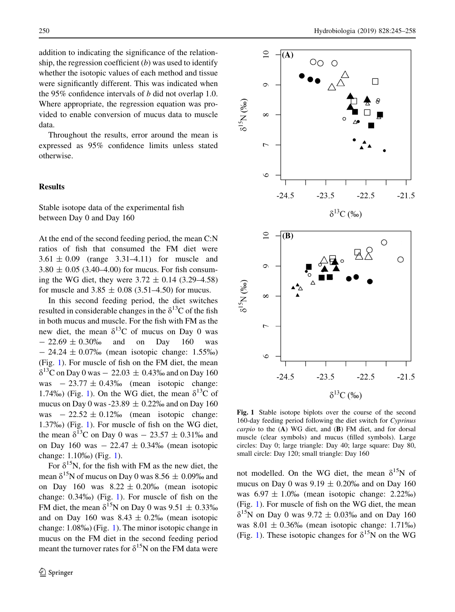<span id="page-5-0"></span>addition to indicating the significance of the relationship, the regression coefficient  $(b)$  was used to identify whether the isotopic values of each method and tissue were significantly different. This was indicated when the 95% confidence intervals of b did not overlap 1.0. Where appropriate, the regression equation was provided to enable conversion of mucus data to muscle data.

Throughout the results, error around the mean is expressed as 95% confidence limits unless stated otherwise.

## Results

Stable isotope data of the experimental fish between Day 0 and Day 160

At the end of the second feeding period, the mean C:N ratios of fish that consumed the FM diet were  $3.61 \pm 0.09$  (range  $3.31 - 4.11$ ) for muscle and  $3.80 \pm 0.05$  (3.40–4.00) for mucus. For fish consuming the WG diet, they were  $3.72 \pm 0.14$  (3.29–4.58) for muscle and  $3.85 \pm 0.08$  (3.51–4.50) for mucus.

In this second feeding period, the diet switches resulted in considerable changes in the  $\delta^{13}$ C of the fish in both mucus and muscle. For the fish with FM as the new diet, the mean  $\delta^{13}$ C of mucus on Day 0 was  $- 22.69 \pm 0.30\%$  and on Day 160 was  $- 24.24 \pm 0.07\%$  (mean isotopic change: 1.55\%) (Fig. 1). For muscle of fish on the FM diet, the mean  $\delta^{13}$ C on Day 0 was  $-22.03 \pm 0.43\%$  and on Day 160 was  $-23.77 \pm 0.43\%$  (mean isotopic change: 1.74‰) (Fig. 1). On the WG diet, the mean  $\delta^{13}C$  of mucus on Day 0 was -23.89  $\pm$  0.22‰ and on Day 160 was  $-22.52 \pm 0.12\%$  (mean isotopic change: 1.37%) (Fig. 1). For muscle of fish on the WG diet, the mean  $\delta^{13}$ C on Day 0 was  $- 23.57 \pm 0.31\%$  and on Day 160 was  $-22.47 \pm 0.34\%$  (mean isotopic change: 1.10% (Fig. 1).

For  $\delta^{15}N$ , for the fish with FM as the new diet, the mean  $\delta^{15}N$  of mucus on Day 0 was 8.56  $\pm$  0.09% and on Day 160 was  $8.22 \pm 0.20\%$  (mean isotopic change: 0.34%) (Fig. 1). For muscle of fish on the FM diet, the mean  $\delta^{15}N$  on Day 0 was 9.51  $\pm$  0.33% and on Day 160 was  $8.43 \pm 0.2\%$  (mean isotopic change: 1.08%) (Fig. 1). The minor isotopic change in mucus on the FM diet in the second feeding period meant the turnover rates for  $\delta^{15}N$  on the FM data were



Fig. 1 Stable isotope biplots over the course of the second 160-day feeding period following the diet switch for Cyprinus carpio to the  $(A)$  WG diet, and  $(B)$  FM diet, and for dorsal muscle (clear symbols) and mucus (filled symbols). Large circles: Day 0; large triangle: Day 40; large square: Day 80, small circle: Day 120; small triangle: Day 160

not modelled. On the WG diet, the mean  $\delta^{15}N$  of mucus on Day 0 was  $9.19 \pm 0.20\%$  and on Day 160 was  $6.97 \pm 1.0\%$  (mean isotopic change: 2.22\%) (Fig. 1). For muscle of fish on the WG diet, the mean  $\delta^{15}$ N on Day 0 was 9.72  $\pm$  0.03‰ and on Day 160 was  $8.01 \pm 0.36\%$  (mean isotopic change: 1.71%) (Fig. 1). These isotopic changes for  $\delta^{15}N$  on the WG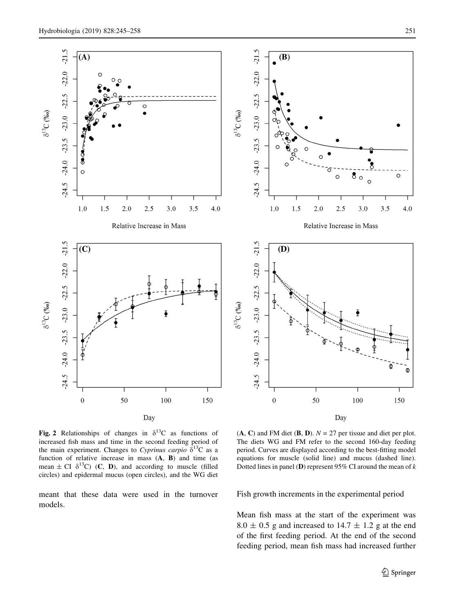<span id="page-6-0"></span>

Fig. 2 Relationships of changes in  $\delta^{13}C$  as functions of increased fish mass and time in the second feeding period of the main experiment. Changes to Cyprinus carpio  $\delta^{13}$ C as a function of relative increase in mass  $(A, B)$  and time (as mean  $\pm$  CI  $\delta^{13}$ C) (**C**, **D**), and according to muscle (filled circles) and epidermal mucus (open circles), and the WG diet

meant that these data were used in the turnover models.

 $(A, C)$  and FM diet  $(B, D)$ .  $N = 27$  per tissue and diet per plot. The diets WG and FM refer to the second 160-day feeding period. Curves are displayed according to the best-fitting model equations for muscle (solid line) and mucus (dashed line). Dotted lines in panel (D) represent 95% CI around the mean of  $k$ 

Fish growth increments in the experimental period

Mean fish mass at the start of the experiment was  $8.0 \pm 0.5$  g and increased to 14.7  $\pm$  1.2 g at the end of the first feeding period. At the end of the second feeding period, mean fish mass had increased further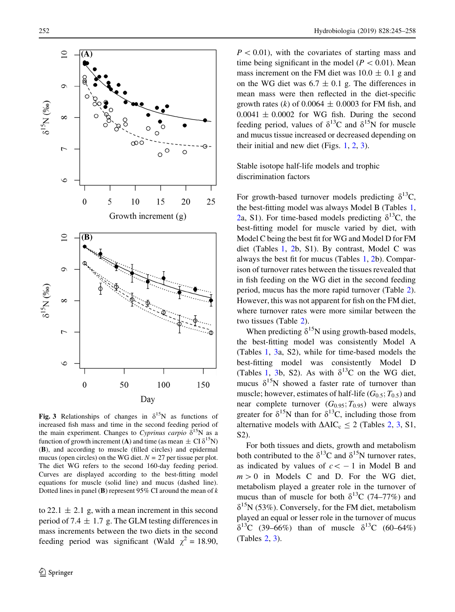<span id="page-7-0"></span>

Fig. 3 Relationships of changes in  $\delta^{15}N$  as functions of increased fish mass and time in the second feeding period of the main experiment. Changes to Cyprinus carpio  $\delta^{15}N$  as a function of growth increment (A) and time (as mean  $\pm$  CI  $\delta^{15}N$ ) (B), and according to muscle (filled circles) and epidermal mucus (open circles) on the WG diet.  $N = 27$  per tissue per plot. The diet WG refers to the second 160-day feeding period. Curves are displayed according to the best-fitting model equations for muscle (solid line) and mucus (dashed line). Dotted lines in panel (B) represent 95% CI around the mean of  $k$ 

to 22.1  $\pm$  2.1 g, with a mean increment in this second period of 7.4  $\pm$  1.7 g. The GLM testing differences in mass increments between the two diets in the second feeding period was significant (Wald  $\chi^2 = 18.90$ ,

 $P < 0.01$ ), with the covariates of starting mass and time being significant in the model ( $P < 0.01$ ). Mean mass increment on the FM diet was  $10.0 \pm 0.1$  g and on the WG diet was  $6.7 \pm 0.1$  g. The differences in mean mass were then reflected in the diet-specific growth rates (k) of 0.0064  $\pm$  0.0003 for FM fish, and  $0.0041 \pm 0.0002$  for WG fish. During the second feeding period, values of  $\delta^{13}C$  and  $\delta^{15}N$  for muscle and mucus tissue increased or decreased depending on their initial and new diet (Figs. [1](#page-5-0), [2](#page-6-0), 3).

Stable isotope half-life models and trophic discrimination factors

For growth-based turnover models predicting  $\delta^{13}C$ , the best-fitting model was always Model B (Tables [1,](#page-8-0) [2a](#page-9-0), S1). For time-based models predicting  $\delta^{13}$ C, the best-fitting model for muscle varied by diet, with Model C being the best fit for WG and Model D for FM diet (Tables [1,](#page-8-0) [2b](#page-9-0), S1). By contrast, Model C was always the best fit for mucus (Tables [1](#page-8-0), [2](#page-9-0)b). Comparison of turnover rates between the tissues revealed that in fish feeding on the WG diet in the second feeding period, mucus has the more rapid turnover (Table [2](#page-9-0)). However, this was not apparent for fish on the FM diet, where turnover rates were more similar between the two tissues (Table [2\)](#page-9-0).

When predicting  $\delta^{15}N$  using growth-based models, the best-fitting model was consistently Model A (Tables [1](#page-8-0), [3a](#page-10-0), S2), while for time-based models the best-fitting model was consistently Model D (Tables [1](#page-8-0), [3](#page-10-0)b, S2). As with  $\delta^{13}$ C on the WG diet, mucus  $\delta^{15}N$  showed a faster rate of turnover than muscle; however, estimates of half-life  $(G_{0.5}; T_{0.5})$  and near complete turnover  $(G_{0.95}; T_{0.95})$  were always greater for  $\delta^{15}N$  than for  $\delta^{13}C$ , including those from alternative models with  $\Delta AIC_c \le 2$  $\Delta AIC_c \le 2$  (Tables 2, [3,](#page-10-0) S1, S2).

For both tissues and diets, growth and metabolism both contributed to the  $\delta^{13}C$  and  $\delta^{15}N$  turnover rates, as indicated by values of  $c \lt -1$  in Model B and  $m > 0$  in Models C and D. For the WG diet, metabolism played a greater role in the turnover of mucus than of muscle for both  $\delta^{13}C$  (74–77%) and  $\delta^{15}N$  (53%). Conversely, for the FM diet, metabolism played an equal or lesser role in the turnover of mucus  $\delta^{13}C$  (39–66%) than of muscle  $\delta^{13}C$  (60–64%) (Tables [2](#page-9-0), [3](#page-10-0)).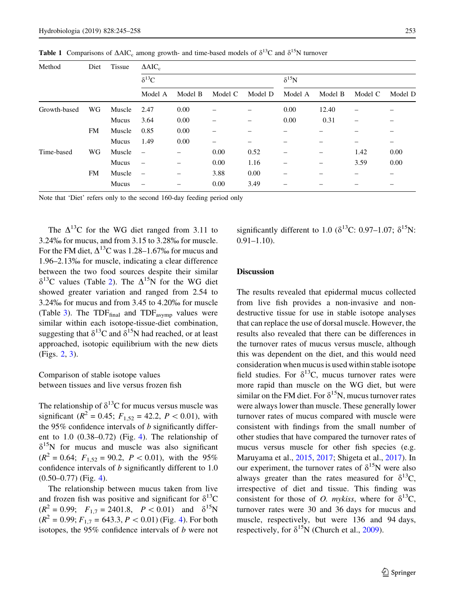<span id="page-8-0"></span>**Table 1** Comparisons of  $\triangle AIC_c$  among growth- and time-based models of  $\delta^{13}C$  and  $\delta^{15}N$  turnover

| Method       | Diet      | <b>Tissue</b> | $\triangle AIC_c$        |         |         |         |                |         |         |         |  |
|--------------|-----------|---------------|--------------------------|---------|---------|---------|----------------|---------|---------|---------|--|
|              |           |               | $\delta^{13}C$           |         |         |         | $\delta^{15}N$ |         |         |         |  |
|              |           |               | Model A                  | Model B | Model C | Model D | Model A        | Model B | Model C | Model D |  |
| Growth-based | WG        | Muscle        | 2.47                     | 0.00    | -       |         | 0.00           | 12.40   |         |         |  |
|              |           | Mucus         | 3.64                     | 0.00    | -       |         | 0.00           | 0.31    |         |         |  |
|              | <b>FM</b> | Muscle        | 0.85                     | 0.00    | -       |         |                |         |         |         |  |
|              |           | Mucus         | 1.49                     | 0.00    | -       |         |                |         |         | -       |  |
| Time-based   | WG        | Muscle        |                          |         | 0.00    | 0.52    | -              |         | 1.42    | 0.00    |  |
|              |           | Mucus         | $\overline{\phantom{m}}$ |         | 0.00    | 1.16    |                |         | 3.59    | 0.00    |  |
|              | <b>FM</b> | Muscle        |                          |         | 3.88    | 0.00    |                |         |         |         |  |
|              |           | Mucus         | $\qquad \qquad$          |         | 0.00    | 3.49    |                |         |         |         |  |

Note that 'Diet' refers only to the second 160-day feeding period only

The  $\Delta^{13}$ C for the WG diet ranged from 3.11 to 3.24% for mucus, and from 3.15 to 3.28% for muscle. For the FM diet,  $\Delta^{13}$ C was 1.28–1.67% for mucus and 1.96–2.13% for muscle, indicating a clear difference between the two food sources despite their similar  $\delta^{13}$ C values (Table [2](#page-9-0)). The  $\Delta^{15}$ N for the WG diet showed greater variation and ranged from 2.54 to 3.24% for mucus and from 3.45 to 4.20% for muscle (Table [3](#page-10-0)). The TDF $_{final}$  and TDF $_{asvmp}$  values were similar within each isotope-tissue-diet combination, suggesting that  $\delta^{13}$ C and  $\delta^{15}$ N had reached, or at least approached, isotopic equilibrium with the new diets (Figs. [2](#page-6-0), [3](#page-7-0)).

# Comparison of stable isotope values between tissues and live versus frozen fish

The relationship of  $\delta^{13}$ C for mucus versus muscle was significant ( $R^2 = 0.45$ ;  $F_{1,52} = 42.2$ ,  $P < 0.01$ ), with the 95% confidence intervals of  $b$  significantly different to  $1.0$   $(0.38-0.72)$  (Fig. [4](#page-11-0)). The relationship of  $\delta^{15}$ N for mucus and muscle was also significant  $(R^2 = 0.64; F_{1,52} = 90.2, P < 0.01)$ , with the 95% confidence intervals of b significantly different to 1.0  $(0.50-0.77)$  (Fig. [4\)](#page-11-0).

The relationship between mucus taken from live and frozen fish was positive and significant for  $\delta^{13}C$  $(R^2 = 0.99;$   $F_{1,7} = 2401.8,$   $P < 0.01$  and  $\delta^{15}N$  $(R^{2} = 0.99; F_{1,7} = 643.3, P < 0.01)$  $(R^{2} = 0.99; F_{1,7} = 643.3, P < 0.01)$  $(R^{2} = 0.99; F_{1,7} = 643.3, P < 0.01)$  (Fig. 4). For both isotopes, the 95% confidence intervals of b were not significantly different to 1.0 ( $\delta^{13}$ C: 0.97–1.07;  $\delta^{15}$ N: 0.91–1.10).

## Discussion

The results revealed that epidermal mucus collected from live fish provides a non-invasive and nondestructive tissue for use in stable isotope analyses that can replace the use of dorsal muscle. However, the results also revealed that there can be differences in the turnover rates of mucus versus muscle, although this was dependent on the diet, and this would need consideration when mucus is used within stable isotope field studies. For  $\delta^{13}C$ , mucus turnover rates were more rapid than muscle on the WG diet, but were similar on the FM diet. For  $\delta^{15}N$ , mucus turnover rates were always lower than muscle. These generally lower turnover rates of mucus compared with muscle were consistent with findings from the small number of other studies that have compared the turnover rates of mucus versus muscle for other fish species (e.g. Maruyama et al., [2015,](#page-13-0) [2017;](#page-13-0) Shigeta et al., [2017\)](#page-13-0). In our experiment, the turnover rates of  $\delta^{15}N$  were also always greater than the rates measured for  $\delta^{13}C$ , irrespective of diet and tissue. This finding was consistent for those of O. mykiss, where for  $\delta^{13}C$ , turnover rates were 30 and 36 days for mucus and muscle, respectively, but were 136 and 94 days, respectively, for  $\delta^{15}N$  (Church et al., [2009](#page-12-0)).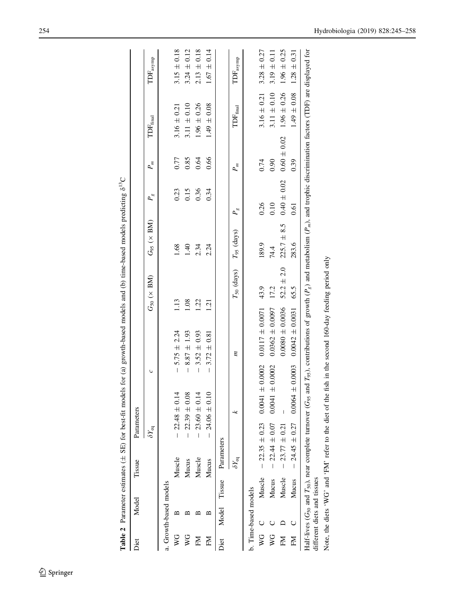<span id="page-9-0"></span>

|                           |                             |        |                                              |                     | <b>Table 2</b> Parameter estimates ( $\pm$ SE) for best-fit models for (a) growth-based models and (b) time-based models predicting $\delta^{13}C$                                                             |      |                         |                         |                       |                 |                             |                             |
|---------------------------|-----------------------------|--------|----------------------------------------------|---------------------|----------------------------------------------------------------------------------------------------------------------------------------------------------------------------------------------------------------|------|-------------------------|-------------------------|-----------------------|-----------------|-----------------------------|-----------------------------|
| Diet                      | Model                       |        | Tissue                                       | Parameters          |                                                                                                                                                                                                                |      |                         |                         |                       |                 |                             |                             |
|                           |                             |        | $\delta Y_{\rm eq}$                          |                     | C                                                                                                                                                                                                              |      | $G_{50}$ ( $\times$ BM) | $G_{95}$ ( $\times$ BM) | $P_{\infty}$          | $P_m$           | $\mbox{TOF}_{\rm final}$    | $\mbox{TDF}_\mathrm{asymp}$ |
|                           | a. Growth-based models      |        |                                              |                     |                                                                                                                                                                                                                |      |                         |                         |                       |                 |                             |                             |
| $\mathsf{V}^{\mathsf{G}}$ | ≃                           |        | Muscle                                       | $-22.48 \pm 0.14$   | $5.75 \pm 2.24$<br>$\overline{1}$                                                                                                                                                                              | 1.13 |                         | 1.68                    | 0.23                  | 0.77            | $3.16 \pm 0.21$             | $3.15 \pm 0.18$             |
| $\stackrel{\circ}{\ge}$   | ≃                           |        | Mucus                                        | $-22.39 \pm 0.08$   | $8.87 \pm 1.93$<br>$\overline{1}$                                                                                                                                                                              | 1.08 |                         | 1.40                    | 0.15                  | 0.85            | $3.11 \pm 0.10$             | $3.24 \pm 0.12$             |
| Ŋ                         | ≃                           |        | Muscle                                       | $-23.60 \pm 0.14$   | $3.52 \pm 0.93$<br>$\overline{1}$                                                                                                                                                                              | 1.22 |                         | 2.34                    | 0.36                  | 0.64            | $1.96 \pm 0.26$             | $2.13 \pm 0.18$             |
| E                         | ≃                           |        | Mucus                                        | $-24.06 \pm 0.10$   | $-3.72 \pm 0.81$                                                                                                                                                                                               | 1.21 |                         | 2.24                    | 0.34                  | 0.66            | $1.49 \pm 0.08$             | $1.67 \pm 0.14$             |
| Diet                      | Model                       | Tissue | Parameters                                   |                     |                                                                                                                                                                                                                |      |                         |                         |                       |                 |                             |                             |
|                           |                             |        | $\delta Y_{\rm eq}$                          | x                   | $\tilde{u}$                                                                                                                                                                                                    |      | $T_{50}$ (days)         | $T_{.95}$ (days)        | $P_{\infty}^{\infty}$ | P_⊯             | $\text{TDF}_{\text{final}}$ | $\mbox{TDF}_\mathrm{asymp}$ |
|                           | b. Time-based models        |        |                                              |                     |                                                                                                                                                                                                                |      |                         |                         |                       |                 |                             |                             |
| $\frac{C}{2}$             |                             | Muscle | $-22.35 \pm 0.23$                            | $0.0041 \pm 0.0002$ | $0.0117 \pm 0.0071$                                                                                                                                                                                            |      | 43.9                    | 189.9                   | 0.26                  | 0.74            | $3.16 \pm 0.21$             | $3.28 \pm 0.27$             |
| WG                        |                             | Mucus  | $22.44 \pm 0.07$<br>$\overline{1}$           | $0.0041 \pm 0.0002$ | $0.0362 \pm 0.0097$                                                                                                                                                                                            |      | 17.2                    | 74.4                    | 0.10                  | 0.90            | $3.11 \pm 0.10$             | $3.19 \pm 0.11$             |
| ΣÄ                        |                             | Muscle | $23.77 \pm 0.21$<br>$\overline{1}$           |                     | $0.0080 \pm 0.0036$                                                                                                                                                                                            |      | $52.2 \pm 2.0$          | $225.7 \pm 8.5$         | $0.40\,\pm\,0.02$     | $0.60 \pm 0.02$ | $1.96 \pm 0.26$             | $1.96 \pm 0.25$             |
| ΣĂ                        |                             | Mucus  | $24.45 \pm 0.27$<br>$\overline{\phantom{a}}$ | $0.0064 \pm 0.0003$ | $0.0042 \pm 0.0031$                                                                                                                                                                                            |      | 65.5                    | 283.6                   | 0.61                  | 0.39            | $0.08$<br>$\pm 0.08$        | $1.28 \pm 0.31$             |
|                           | different diets and tissues |        |                                              |                     | Half-lives ( $G_{50}$ and $T_{50}$ ), near complete turnover ( $G_{95}$ and $T_{95}$ ), contributions of growth ( $P_g$ ) and metabolism ( $P_m$ ), and trophic discrimination factors (TDF) are displayed for |      |                         |                         |                       |                 |                             |                             |
|                           |                             |        |                                              |                     | Note, the diets 'WG' and 'FM' refer to the diet of the fish in the second 160-day feeding period only                                                                                                          |      |                         |                         |                       |                 |                             |                             |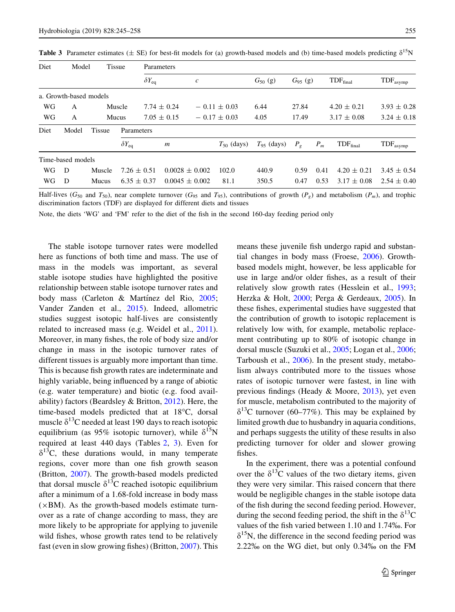| Diet | Model                  | <b>Tissue</b> | Parameters          |                        |                    |                  |                 |               |       |                      |                             |
|------|------------------------|---------------|---------------------|------------------------|--------------------|------------------|-----------------|---------------|-------|----------------------|-----------------------------|
|      |                        |               |                     | $\delta Y_{\text{eq}}$ | $\mathfrak c$      |                  | $G_{50}$ (g)    | $G_{95}$ (g)  |       | TDF <sub>final</sub> | $\text{TDF}_\text{asymp}$   |
|      | a. Growth-based models |               |                     |                        |                    |                  |                 |               |       |                      |                             |
| WG   | A                      |               | Muscle              | $7.74 \pm 0.24$        |                    | $-0.11 \pm 0.03$ | 6.44            | 27.84         |       | $4.20 \pm 0.21$      | $3.93 \pm 0.28$             |
| WG   | A                      |               | Mucus               | $7.05 \pm 0.15$        |                    | $-0.17 \pm 0.03$ | 4.05            | 17.49         |       | $3.17 \pm 0.08$      | $3.24 \pm 0.18$             |
| Diet | Model                  | <b>Tissue</b> | Parameters          |                        |                    |                  |                 |               |       |                      |                             |
|      |                        |               | $\delta Y_{\rm eq}$ | $\boldsymbol{m}$       |                    | $T_{50}$ (days)  | $T_{95}$ (days) | $P_{\varrho}$ | $P_m$ | $TDF_{final}$        | $\text{TDF}_{\text{asymp}}$ |
|      | Time-based models      |               |                     |                        |                    |                  |                 |               |       |                      |                             |
| WG   | D                      | Muscle        | $7.26 \pm 0.51$     |                        | $0.0028 \pm 0.002$ | 102.0            | 440.9           | 0.59          | 0.41  | $4.20 \pm 0.21$      | $3.45 \pm 0.54$             |
| WG   | D                      | <b>Mucus</b>  | $6.35 \pm 0.37$     |                        | $0.0045 \pm 0.002$ | 81.1             | 350.5           | 0.47          | 0.53  | $3.17 \pm 0.08$      | $2.54 \pm 0.40$             |

<span id="page-10-0"></span>**Table 3** Parameter estimates ( $\pm$  SE) for best-fit models for (a) growth-based models and (b) time-based models predicting  $\delta^{15}N$ 

Half-lives ( $G_{50}$  and  $T_{50}$ ), near complete turnover ( $G_{95}$  and  $T_{95}$ ), contributions of growth ( $P_g$ ) and metabolism ( $P_m$ ), and trophic discrimination factors (TDF) are displayed for different diets and tissues

Note, the diets 'WG' and 'FM' refer to the diet of the fish in the second 160-day feeding period only

The stable isotope turnover rates were modelled here as functions of both time and mass. The use of mass in the models was important, as several stable isotope studies have highlighted the positive relationship between stable isotope turnover rates and body mass (Carleton & Martínez del Rio, [2005](#page-12-0); Vander Zanden et al., [2015\)](#page-13-0). Indeed, allometric studies suggest isotopic half-lives are consistently related to increased mass (e.g. Weidel et al., [2011](#page-13-0)). Moreover, in many fishes, the role of body size and/or change in mass in the isotopic turnover rates of different tissues is arguably more important than time. This is because fish growth rates are indeterminate and highly variable, being influenced by a range of abiotic (e.g. water temperature) and biotic (e.g. food availability) factors (Beardsley & Britton, [2012](#page-12-0)). Here, the time-based models predicted that at  $18^{\circ}$ C, dorsal muscle  $\delta^{13}$ C needed at least 190 days to reach isotopic equilibrium (as 95% isotopic turnover), while  $\delta^{15}N$ required at least 440 days (Tables [2](#page-9-0), 3). Even for  $\delta^{13}$ C, these durations would, in many temperate regions, cover more than one fish growth season (Britton, [2007\)](#page-12-0). The growth-based models predicted that dorsal muscle  $\delta^{13}$ C reached isotopic equilibrium after a minimum of a 1.68-fold increase in body mass  $(xBM)$ . As the growth-based models estimate turnover as a rate of change according to mass, they are more likely to be appropriate for applying to juvenile wild fishes, whose growth rates tend to be relatively fast (even in slow growing fishes) (Britton, [2007\)](#page-12-0). This means these juvenile fish undergo rapid and substantial changes in body mass (Froese, [2006](#page-12-0)). Growthbased models might, however, be less applicable for use in large and/or older fishes, as a result of their relatively slow growth rates (Hesslein et al., [1993](#page-12-0); Herzka & Holt, [2000;](#page-12-0) Perga & Gerdeaux, [2005](#page-13-0)). In these fishes, experimental studies have suggested that the contribution of growth to isotopic replacement is relatively low with, for example, metabolic replacement contributing up to 80% of isotopic change in dorsal muscle (Suzuki et al., [2005](#page-13-0); Logan et al., [2006](#page-13-0); Tarboush et al., [2006\)](#page-13-0). In the present study, metabolism always contributed more to the tissues whose rates of isotopic turnover were fastest, in line with previous findings (Heady & Moore, [2013\)](#page-12-0), yet even for muscle, metabolism contributed to the majority of  $\delta^{13}$ C turnover (60–77%). This may be explained by limited growth due to husbandry in aquaria conditions, and perhaps suggests the utility of these results in also predicting turnover for older and slower growing fishes.

In the experiment, there was a potential confound over the  $\delta^{13}$ C values of the two dietary items, given they were very similar. This raised concern that there would be negligible changes in the stable isotope data of the fish during the second feeding period. However, during the second feeding period, the shift in the  $\delta^{13}C$ values of the fish varied between 1.10 and 1.74%. For  $\delta^{15}$ N, the difference in the second feeding period was  $2.22\%$  on the WG diet, but only  $0.34\%$  on the FM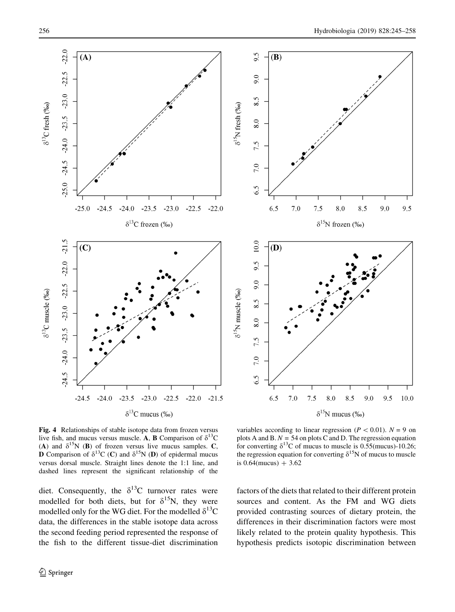9.5

9.0

9.5

10.0

<span id="page-11-0"></span>

Fig. 4 Relationships of stable isotope data from frozen versus live fish, and mucus versus muscle. A, **B** Comparison of  $\delta^{13}C$ (A) and  $\delta^{15}N$  (B) of frozen versus live mucus samples. C, **D** Comparison of  $\delta^{13}C$  (C) and  $\delta^{15}N$  (D) of epidermal mucus versus dorsal muscle. Straight lines denote the 1:1 line, and dashed lines represent the significant relationship of the

diet. Consequently, the  $\delta^{13}$ C turnover rates were modelled for both diets, but for  $\delta^{15}N$ , they were modelled only for the WG diet. For the modelled  $\delta^{13}C$ data, the differences in the stable isotope data across the second feeding period represented the response of the fish to the different tissue-diet discrimination

variables according to linear regression ( $P < 0.01$ ).  $N = 9$  on plots A and B.  $N = 54$  on plots C and D. The regression equation for converting  $\delta^{13}$ C of mucus to muscle is 0.55(mucus)-10.26; the regression equation for converting  $\delta^{15}N$  of mucus to muscle is  $0.64$ (mucus) + 3.62

factors of the diets that related to their different protein sources and content. As the FM and WG diets provided contrasting sources of dietary protein, the differences in their discrimination factors were most likely related to the protein quality hypothesis. This hypothesis predicts isotopic discrimination between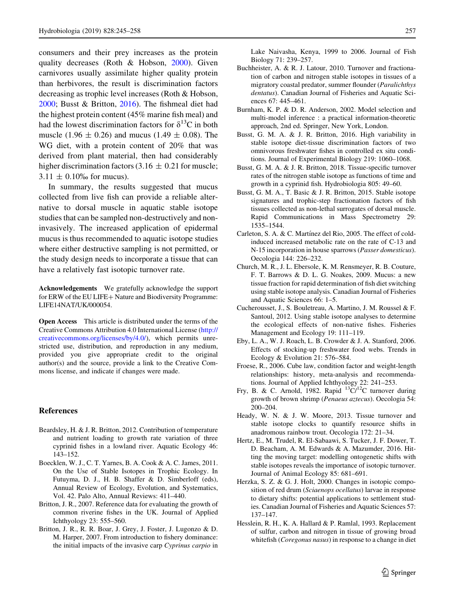<span id="page-12-0"></span>consumers and their prey increases as the protein quality decreases (Roth & Hobson, [2000](#page-13-0)). Given carnivores usually assimilate higher quality protein than herbivores, the result is discrimination factors decreasing as trophic level increases (Roth & Hobson, [2000;](#page-13-0) Busst & Britton, 2016). The fishmeal diet had the highest protein content (45% marine fish meal) and had the lowest discrimination factors for  $\delta^{13}$ C in both muscle (1.96  $\pm$  0.26) and mucus (1.49  $\pm$  0.08). The WG diet, with a protein content of 20% that was derived from plant material, then had considerably higher discrimination factors  $(3.16 \pm 0.21$  for muscle;  $3.11 \pm 0.10\%$  for mucus).

In summary, the results suggested that mucus collected from live fish can provide a reliable alternative to dorsal muscle in aquatic stable isotope studies that can be sampled non-destructively and noninvasively. The increased application of epidermal mucus is thus recommended to aquatic isotope studies where either destructive sampling is not permitted, or the study design needs to incorporate a tissue that can have a relatively fast isotopic turnover rate.

Acknowledgements We gratefully acknowledge the support for ERW of the EU LIFE+ Nature and Biodiversity Programme: LIFE14NAT/UK/000054.

Open Access This article is distributed under the terms of the Creative Commons Attribution 4.0 International License ([http://](http://creativecommons.org/licenses/by/4.0/) [creativecommons.org/licenses/by/4.0/\)](http://creativecommons.org/licenses/by/4.0/), which permits unrestricted use, distribution, and reproduction in any medium, provided you give appropriate credit to the original author(s) and the source, provide a link to the Creative Commons license, and indicate if changes were made.

#### References

- Beardsley, H. & J. R. Britton, 2012. Contribution of temperature and nutrient loading to growth rate variation of three cyprinid fishes in a lowland river. Aquatic Ecology 46: 143–152.
- Boecklen, W. J., C. T. Yarnes, B. A. Cook & A. C. James, 2011. On the Use of Stable Isotopes in Trophic Ecology. In Futuyma, D. J., H. B. Shaffer & D. Simberloff (eds), Annual Review of Ecology, Evolution, and Systematics, Vol. 42. Palo Alto, Annual Reviews: 411–440.
- Britton, J. R., 2007. Reference data for evaluating the growth of common riverine fishes in the UK. Journal of Applied Ichthyology 23: 555–560.
- Britton, J. R., R. R. Boar, J. Grey, J. Foster, J. Lugonzo & D. M. Harper, 2007. From introduction to fishery dominance: the initial impacts of the invasive carp Cyprinus carpio in

Lake Naivasha, Kenya, 1999 to 2006. Journal of Fish Biology 71: 239–257.

- Buchheister, A. & R. J. Latour, 2010. Turnover and fractionation of carbon and nitrogen stable isotopes in tissues of a migratory coastal predator, summer flounder (Paralichthys dentatus). Canadian Journal of Fisheries and Aquatic Sciences 67: 445–461.
- Burnham, K. P. & D. R. Anderson, 2002. Model selection and multi-model inference : a practical information-theoretic approach, 2nd ed. Springer, New York, London.
- Busst, G. M. A. & J. R. Britton, 2016. High variability in stable isotope diet-tissue discrimination factors of two omnivorous freshwater fishes in controlled ex situ conditions. Journal of Experimental Biology 219: 1060–1068.
- Busst, G. M. A. & J. R. Britton, 2018. Tissue-specific turnover rates of the nitrogen stable isotope as functions of time and growth in a cyprinid fish. Hydrobiologia 805: 49–60.
- Busst, G. M. A., T. Basic & J. R. Britton, 2015. Stable isotope signatures and trophic-step fractionation factors of fish tissues collected as non-lethal surrogates of dorsal muscle. Rapid Communications in Mass Spectrometry 29: 1535–1544.
- Carleton, S. A. & C. Martínez del Rio, 2005. The effect of coldinduced increased metabolic rate on the rate of C-13 and N-15 incorporation in house sparrows (Passer domesticus). Oecologia 144: 226–232.
- Church, M. R., J. L. Ebersole, K. M. Rensmeyer, R. B. Couture, F. T. Barrows & D. L. G. Noakes, 2009. Mucus: a new tissue fraction for rapid determination of fish diet switching using stable isotope analysis. Canadian Journal of Fisheries and Aquatic Sciences 66: 1–5.
- Cucherousset, J., S. Bouletreau, A. Martino, J. M. Roussel & F. Santoul, 2012. Using stable isotope analyses to determine the ecological effects of non-native fishes. Fisheries Management and Ecology 19: 111–119.
- Eby, L. A., W. J. Roach, L. B. Crowder & J. A. Stanford, 2006. Effects of stocking-up freshwater food webs. Trends in Ecology & Evolution 21: 576–584.
- Froese, R., 2006. Cube law, condition factor and weight-length relationships: history, meta-analysis and recommendations. Journal of Applied Ichthyology 22: 241–253.
- Fry, B. & C. Arnold, 1982. Rapid  ${}^{13}C/{}^{12}C$  turnover during growth of brown shrimp (Penaeus aztecus). Oecologia 54: 200–204.
- Heady, W. N. & J. W. Moore, 2013. Tissue turnover and stable isotope clocks to quantify resource shifts in anadromous rainbow trout. Oecologia 172: 21–34.
- Hertz, E., M. Trudel, R. El-Sabaawi, S. Tucker, J. F. Dower, T. D. Beacham, A. M. Edwards & A. Mazumder, 2016. Hitting the moving target: modelling ontogenetic shifts with stable isotopes reveals the importance of isotopic turnover. Journal of Animal Ecology 85: 681–691.
- Herzka, S. Z. & G. J. Holt, 2000. Changes in isotopic composition of red drum (Sciaenops ocellatus) larvae in response to dietary shifts: potential applications to settlement studies. Canadian Journal of Fisheries and Aquatic Sciences 57: 137–147.
- Hesslein, R. H., K. A. Hallard & P. Ramlal, 1993. Replacement of sulfur, carbon and nitrogen in tissue of growing broad whitefish (*Coregonus nasus*) in response to a change in diet